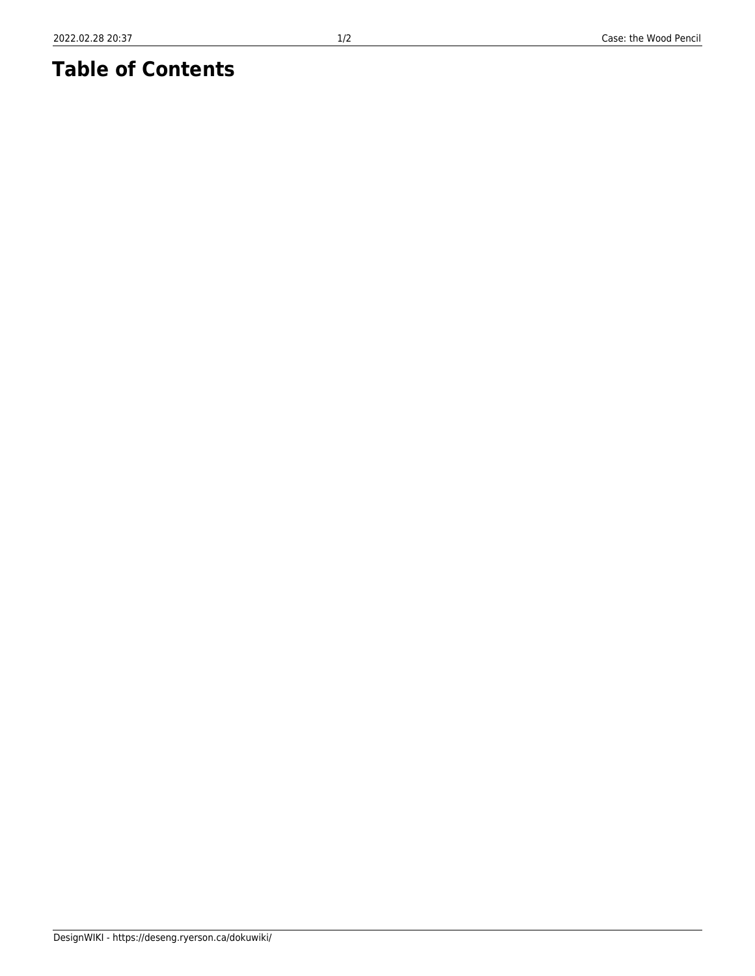## **Table of Contents**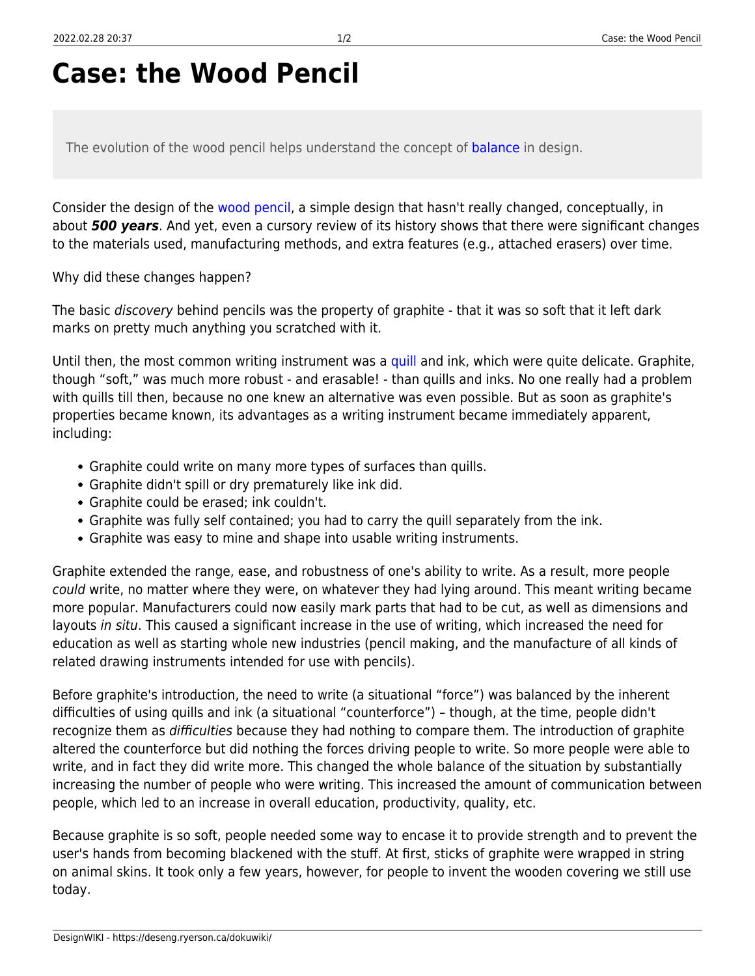## **Case: the Wood Pencil**

The evolution of the wood pencil helps understand the concept of [balance](#page--1-0) in design.

Consider the design of the [wood pencil,](https://en.wikipedia.org/wiki/Pencil) a simple design that hasn't really changed, conceptually, in about *500 years*. And yet, even a cursory review of its history shows that there were significant changes to the materials used, manufacturing methods, and extra features (e.g., attached erasers) over time.

Why did these changes happen?

The basic *discovery* behind pencils was the property of graphite - that it was so soft that it left dark marks on pretty much anything you scratched with it.

Until then, the most common writing instrument was a [quill](https://en.wikipedia.org/wiki/Quill) and ink, which were quite delicate. Graphite, though "soft," was much more robust - and erasable! - than quills and inks. No one really had a problem with quills till then, because no one knew an alternative was even possible. But as soon as graphite's properties became known, its advantages as a writing instrument became immediately apparent, including:

- Graphite could write on many more types of surfaces than quills.
- Graphite didn't spill or dry prematurely like ink did.
- Graphite could be erased; ink couldn't.
- Graphite was fully self contained; you had to carry the quill separately from the ink.
- Graphite was easy to mine and shape into usable writing instruments.

Graphite extended the range, ease, and robustness of one's ability to write. As a result, more people could write, no matter where they were, on whatever they had lying around. This meant writing became more popular. Manufacturers could now easily mark parts that had to be cut, as well as dimensions and layouts in situ. This caused a significant increase in the use of writing, which increased the need for education as well as starting whole new industries (pencil making, and the manufacture of all kinds of related drawing instruments intended for use with pencils).

Before graphite's introduction, the need to write (a situational "force") was balanced by the inherent difficulties of using quills and ink (a situational "counterforce") – though, at the time, people didn't recognize them as *difficulties* because they had nothing to compare them. The introduction of graphite altered the counterforce but did nothing the forces driving people to write. So more people were able to write, and in fact they did write more. This changed the whole balance of the situation by substantially increasing the number of people who were writing. This increased the amount of communication between people, which led to an increase in overall education, productivity, quality, etc.

Because graphite is so soft, people needed some way to encase it to provide strength and to prevent the user's hands from becoming blackened with the stuff. At first, sticks of graphite were wrapped in string on animal skins. It took only a few years, however, for people to invent the wooden covering we still use today.